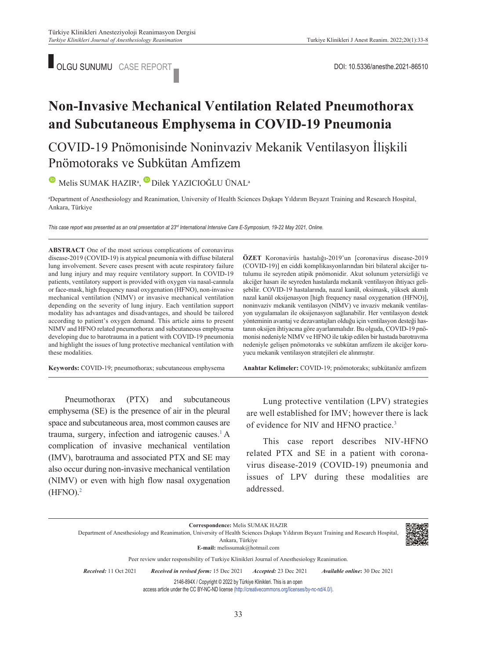

# **Non-Invasive Mechanical Ventilation Related Pneumothorax and Subcutaneous Emphysema in COVID-19 Pneumonia**

## COVID-19 Pnömonisinde Noninvaziv Mekanik Ventilasyon İlişkili Pnömotoraks ve Subkütan Amfizem

MelisSUMAK HAZIR<sup>a</sup>, Dilek YAZICIOĞLU ÜNAL<sup>a</sup>

a Department of Anesthesiology and Reanimation, University of Health Sciences Dışkapı Yıldırım Beyazıt Training and Research Hospital, Ankara, Türkiye

*This case report was presented as an oral presentation at 23rd International Intensive Care E-Symposium, 19-22 May 2021, Online.*

**ABS TRACT** One of the most serious complications of coronavirus disease-2019 (COVID-19) is atypical pneumonia with diffuse bilateral lung involvement. Severe cases present with acute respiratory failure and lung injury and may require ventilatory support. In COVID-19 patients, ventilatory support is provided with oxygen via nasal-cannula or face-mask, high frequency nasal oxygenation (HFNO), non-invasive mechanical ventilation (NIMV) or invasive mechanical ventilation depending on the severity of lung injury. Each ventilation support modality has advantages and disadvantages, and should be tailored according to patient's oxygen demand. This article aims to present NIMV and HFNO related pneumothorax and subcutaneous emphysema developing due to barotrauma in a patient with COVID-19 pneumonia and highlight the issues of lung protective mechanical ventilation with these modalities.

**Keywords:** COVID-19; pneumothorax; subcutaneous emphysema

Pneumothorax (PTX) and subcutaneous emphysema (SE) is the presence of air in the pleural space and subcutaneous area, most common causes are trauma, surgery, infection and iatrogenic causes.<sup>1</sup> A complication of invasive mechanical ventilation (IMV), barotrauma and associated PTX and SE may also occur during non-invasive mechanical ventilation (NIMV) or even with high flow nasal oxygenation (HFNO)[.2](#page-4-0)

**ÖZET** Koronavirüs hastalığı-2019'un [coronavirus disease-2019 (COVID-19)] en ciddi komplikasyonlarından biri bilateral akciğer tutulumu ile seyreden atipik pnömonidir. Akut solunum yetersizliği ve akciğer hasarı ile seyreden hastalarda mekanik ventilasyon ihtiyacı gelişebilir. COVID-19 hastalarında, nazal kanül, oksimask, yüksek akımlı nazal kanül oksijenasyon [high frequency nasal oxygenation (HFNO)], noninvaziv mekanik ventilasyon (NIMV) ve invaziv mekanik ventilasyon uygulamaları ile oksijenasyon sağlanabilir. Her ventilasyon destek yönteminin avantaj ve dezavantajları olduğu için ventilasyon desteği hastanın oksijen ihtiyacına göre ayarlanmalıdır. Bu olguda, COVID-19 pnömonisi nedeniyle NIMV ve HFNO ile takip edilen bir hastada barotravma nedeniyle gelişen pnömotoraks ve subkütan amfizem ile akciğer koruyucu mekanik ventilasyon stratejileri ele alınmıştır.

Anahtar Kelimeler: COVID-19; pnömotoraks; subkütanöz amfizem

Lung protective ventilation (LPV) strategies are well established for IMV; however there is lack of evidence for NIV and HFNO practice[.3](#page-4-0)

This case report describes NIV-HFNO related PTX and SE in a patient with coronavirus disease-2019 (COVID-19) pneumonia and issues of LPV during these modalities are addressed.

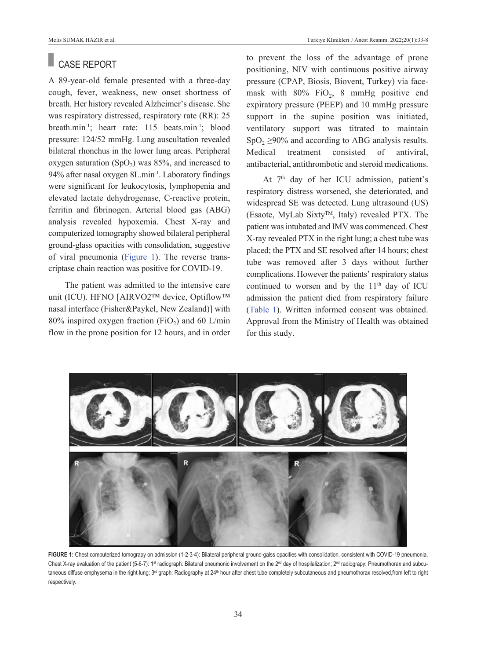#### Melis SUMAK HAZIR et al. Turkiye Klinikleri J Anest Reanim. 2022;20(1):33-8

### CASE REPORT

A 89-year-old female presented with a three-day cough, fever, weakness, new onset shortness of breath. Her history revealed Alzheimer's disease. She was respiratory distressed, respiratory rate (RR): 25 breath.min-1; heart rate: 115 beats.min-1; blood pressure: 124/52 mmHg. Lung auscultation revealed bilateral rhonchus in the lower lung areas. Peripheral oxygen saturation  $(SpO<sub>2</sub>)$  was 85%, and increased to 94% after nasal oxygen 8L.min-1. Laboratory findings were significant for leukocytosis, lymphopenia and elevated lactate dehydrogenase, C-reactive protein, ferritin and fibrinogen. Arterial blood gas (ABG) analysis revealed hypoxemia. Chest X-ray and computerized tomography showed bilateral peripheral ground-glass opacities with consolidation, suggestive of viral pneumonia [\(Figure 1\)](#page-1-0). The reverse transcriptase chain reaction was positive for COVID-19.

The patient was admitted to the intensive care unit (ICU). HFNO [AIRVO2™ device, Optiflow™ nasal interface (Fisher&Paykel, New Zealand)] with 80% inspired oxygen fraction (FiO<sub>2</sub>) and 60 L/min flow in the prone position for 12 hours, and in order to prevent the loss of the advantage of prone positioning, NIV with continuous positive airway pressure (CPAP, Biosis, Biovent, Turkey) via facemask with  $80\%$  FiO<sub>2</sub>, 8 mmHg positive end expiratory pressure (PEEP) and 10 mmHg pressure support in the supine position was initiated, ventilatory support was titrated to maintain  $SpO<sub>2</sub> \ge 90\%$  and according to ABG analysis results. Medical treatment consisted of antiviral, antibacterial, antithrombotic and steroid medications.

At 7<sup>th</sup> day of her ICU admission, patient's respiratory distress worsened, she deteriorated, and widespread SE was detected. Lung ultrasound (US) (Esaote, MyLab Sixty<sup>TM</sup>, Italy) revealed PTX. The patient was intubated and IMV was commenced. Chest X-ray revealed PTX in the right lung; a chest tube was placed; the PTX and SE resolved after 14 hours; chest tube was removed after 3 days without further complications. However the patients' respiratory status continued to worsen and by the  $11<sup>th</sup>$  day of ICU admission the patient died from respiratory failure [\(Table 1\)](#page-2-0). Written informed consent was obtained. Approval from the Ministry of Health was obtained for this study.



<span id="page-1-0"></span>**FIGURE 1:** Chest computerized tomograpy on admission (1-2-3-4): Bilateral peripheral ground-galss opacities with consolidation, consistent with COVID-19 pneumonia. Chest X-ray evaluation of the patient (5-6-7): 1st radiograph: Bilateral pneumonic involvement on the 2<sup>nd</sup> day of hospilalization; 2<sup>nd</sup> radiograpy: Pneumothorax and subcutaneous diffuse emphysema in the right lung; 3<sup>rd</sup> graph: Radiography at 24<sup>th</sup> hour after chest tube completely subcutaneous and pneumothorax resolved, from left to right respectively.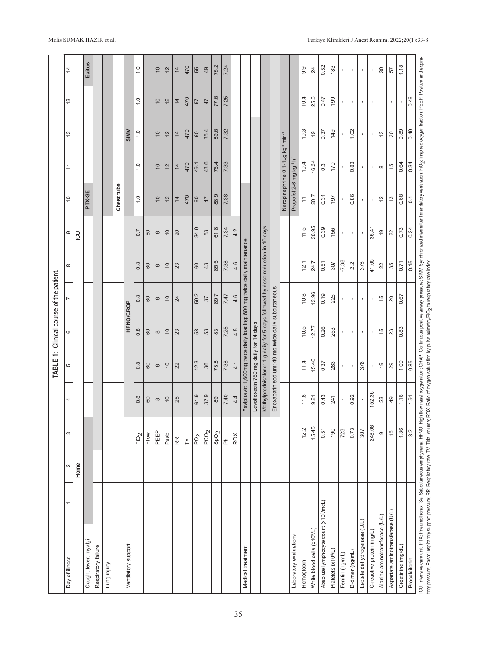<span id="page-2-0"></span>

|                                                                                                                                                                                                                                                                                                                                                                                                                             |   |        |                           |                  |                                                                                | TABLE 1: Clinical course of the patient. |                  |              |                  |                                                  |                                                           |                    |                   |                    |
|-----------------------------------------------------------------------------------------------------------------------------------------------------------------------------------------------------------------------------------------------------------------------------------------------------------------------------------------------------------------------------------------------------------------------------|---|--------|---------------------------|------------------|--------------------------------------------------------------------------------|------------------------------------------|------------------|--------------|------------------|--------------------------------------------------|-----------------------------------------------------------|--------------------|-------------------|--------------------|
| Day of illness                                                                                                                                                                                                                                                                                                                                                                                                              | ↽ | $\sim$ | S                         | 4                | 5                                                                              | 6                                        | N                | ${}^{\circ}$ | Φ                | $\widetilde{C}$                                  | $\tilde{=}$                                               | 12                 | 5,                | $\overline{4}$     |
|                                                                                                                                                                                                                                                                                                                                                                                                                             |   | Home   |                           |                  |                                                                                |                                          |                  |              | $\overline{5}$   |                                                  |                                                           |                    |                   |                    |
| Cough, fever, myalgi                                                                                                                                                                                                                                                                                                                                                                                                        |   |        |                           |                  |                                                                                |                                          |                  |              |                  | PTX-SE                                           |                                                           |                    |                   | Exitus             |
| Respiratory failure                                                                                                                                                                                                                                                                                                                                                                                                         |   |        |                           |                  |                                                                                |                                          |                  |              |                  |                                                  |                                                           |                    |                   |                    |
| Lung injury                                                                                                                                                                                                                                                                                                                                                                                                                 |   |        |                           |                  |                                                                                |                                          |                  |              |                  |                                                  |                                                           |                    |                   |                    |
|                                                                                                                                                                                                                                                                                                                                                                                                                             |   |        |                           |                  |                                                                                |                                          |                  |              |                  | Chest tube                                       |                                                           |                    |                   |                    |
| Ventilatory support                                                                                                                                                                                                                                                                                                                                                                                                         |   |        |                           |                  |                                                                                | <b>HFNO/CROP</b>                         |                  |              |                  |                                                  |                                                           | SIMV               |                   |                    |
|                                                                                                                                                                                                                                                                                                                                                                                                                             |   |        | FIO <sub>2</sub>          | $0.\overline{8}$ | 0.8                                                                            | 0.8                                      | $0.\overline{8}$ | 0.8          | $\overline{0.7}$ | $\overline{1}$ . O                               | $\overline{1}$ . $\overline{0}$                           | $\overline{1}$ . O | $\overline{1}$ .0 | $\overline{1}$ . O |
|                                                                                                                                                                                                                                                                                                                                                                                                                             |   |        | Fllow                     | 60               | 60                                                                             | 60                                       | 60               | 60           | 60               |                                                  |                                                           |                    |                   |                    |
|                                                                                                                                                                                                                                                                                                                                                                                                                             |   |        | PEEP                      | $\infty$         | $\infty$                                                                       | $\infty$                                 | $\infty$         | $\infty$     | $\infty$         | $\overline{0}$                                   | $\overline{0}$                                            | $\overline{0}$     | $\overline{0}$    | $\overline{0}$     |
|                                                                                                                                                                                                                                                                                                                                                                                                                             |   |        | Pasb                      | $\overline{0}$   | $\overline{0}$                                                                 | $\overline{0}$                           | $\overline{c}$   | $\approx$    | $\overline{0}$   | 12                                               | $12$                                                      | $\frac{2}{3}$      | $\frac{2}{3}$     | 12                 |
|                                                                                                                                                                                                                                                                                                                                                                                                                             |   |        | RR                        | 25               | 22                                                                             | 23                                       | 24               | 23           | 20               | $\overline{4}$                                   | $\overline{4}$                                            | $\overline{4}$     | $\overline{4}$    | $\overline{4}$     |
|                                                                                                                                                                                                                                                                                                                                                                                                                             |   |        | $\geq$                    |                  |                                                                                |                                          |                  |              |                  | 470                                              | 470                                                       | 470                | 470               | 470                |
|                                                                                                                                                                                                                                                                                                                                                                                                                             |   |        | PO <sub>2</sub>           | 61.9             | 42.3                                                                           | 58                                       | 59.2             | 60           | 34.9             | $\mbox{60}$                                      | 49.1                                                      | $\pmb{\mathbb{G}}$ | 57                | 55                 |
|                                                                                                                                                                                                                                                                                                                                                                                                                             |   |        | PCO <sub>2</sub>          | 32.9             | 36                                                                             | 53                                       | 37               | 43           | 53               | 47                                               | 43.6                                                      | 35.4               | 47                | 49                 |
|                                                                                                                                                                                                                                                                                                                                                                                                                             |   |        | SpO <sub>2</sub>          | 89               | 73.8                                                                           | 83                                       | 89.7             | 85.5         | 61.8             | 88.9                                             | 75.4                                                      | 89.6               | 77.6              | 75.2               |
|                                                                                                                                                                                                                                                                                                                                                                                                                             |   |        | $\frac{\epsilon}{\Delta}$ | 7.40             | 7.38                                                                           | 7.25                                     | 7.47             | 7.38         | 7.34             | 7.38                                             | 7.33                                                      | 7.32               | 7.25              | 7.24               |
|                                                                                                                                                                                                                                                                                                                                                                                                                             |   |        | ROX                       | 4.4              | 4.1                                                                            | 4.5                                      | 4.6              | 4.6          | 4.2              |                                                  |                                                           |                    |                   |                    |
| Medical treatment                                                                                                                                                                                                                                                                                                                                                                                                           |   |        |                           |                  | Favipiravir: 1,600mg twice daily loading: 600 mg twice daily maintenance       |                                          |                  |              |                  |                                                  |                                                           |                    |                   |                    |
|                                                                                                                                                                                                                                                                                                                                                                                                                             |   |        |                           |                  | Levofloxacin:750 mg daily for 14 days                                          |                                          |                  |              |                  |                                                  |                                                           |                    |                   |                    |
|                                                                                                                                                                                                                                                                                                                                                                                                                             |   |        |                           |                  | Methylprednisolone: 1 g daily for 5 days followed by dose reduction in 10 days |                                          |                  |              |                  |                                                  |                                                           |                    |                   |                    |
|                                                                                                                                                                                                                                                                                                                                                                                                                             |   |        |                           |                  | Enoxaparin sodium: 40 mg twice daily subcutaneous                              |                                          |                  |              |                  |                                                  |                                                           |                    |                   |                    |
|                                                                                                                                                                                                                                                                                                                                                                                                                             |   |        |                           |                  |                                                                                |                                          |                  |              |                  |                                                  | Neropinephrine 0.1-1µg kg <sup>-1</sup> min <sup>-1</sup> |                    |                   |                    |
| Laboratory evaluations                                                                                                                                                                                                                                                                                                                                                                                                      |   |        |                           |                  |                                                                                |                                          |                  |              |                  | Propofol 2-6 mg kg <sup>-1</sup> h <sup>-1</sup> |                                                           |                    |                   |                    |
| Hemoglobin                                                                                                                                                                                                                                                                                                                                                                                                                  |   |        | 12.2                      | 11.8             | 11.4                                                                           | 10.5                                     | 10.8             | 12.1         | 11.5             | $\stackrel{+}{\cdot}$                            | 10.4                                                      | 10.3               | 10.4              | 9.9                |
| White blood cells (x10 <sup>9</sup> /L)                                                                                                                                                                                                                                                                                                                                                                                     |   |        | 15.45                     | 9.21             | 15.46                                                                          | 12.77                                    | 12.96            | 24.7         | 20.95            | 20.7                                             | 16.34                                                     | e,                 | 25.6              | 24                 |
| Absolute lymphocyte count (x10 <sup>3</sup> /mcL)                                                                                                                                                                                                                                                                                                                                                                           |   |        | 0.51                      | 0.43             | 0.37                                                                           | 0.26                                     | 0.19             | 0.51         | 0.39             | 0.31                                             | $0.\overline{3}$                                          | 0.37               | 0.47              | 0.52               |
| Platelets (x10 <sup>9/L</sup> )                                                                                                                                                                                                                                                                                                                                                                                             |   |        | 190                       | 241              | 283                                                                            | 253                                      | 226              | 307          | 156              | 197                                              | 170                                                       | 149                | 199               | 183                |
| Ferritin (ng/mL)                                                                                                                                                                                                                                                                                                                                                                                                            |   |        | 723                       |                  | $\blacksquare$                                                                 | $\blacksquare$                           | $\,$             | $-7.38$      | $\,$             |                                                  |                                                           | $\,$               | $\mathbf{I}$      | $\,$               |
| D-dimer (ng/mL)                                                                                                                                                                                                                                                                                                                                                                                                             |   |        | 0.73                      | 0.92             | $\blacksquare$                                                                 | $\blacksquare$                           | ٠                | 2.2          | $\blacksquare$   | 0.86                                             | 0.83                                                      | 1.02               | $\blacksquare$    |                    |
| Lactate dehydrogenase (U/L)                                                                                                                                                                                                                                                                                                                                                                                                 |   |        | 307                       |                  | 378                                                                            | $\blacksquare$                           |                  | 378          | $\blacksquare$   | $\,$                                             | $\blacksquare$                                            | $\blacksquare$     |                   |                    |
| C-reactive protein (mg/L)                                                                                                                                                                                                                                                                                                                                                                                                   |   |        | 248.08                    | 152.36           |                                                                                | $\mathbf{I}$                             |                  | 41.65        | 36.41            |                                                  |                                                           | $\blacksquare$     |                   |                    |
| Alanine aminotransferase (U/L)                                                                                                                                                                                                                                                                                                                                                                                              |   |        | $\circ$                   | 23               | $\overline{e}$                                                                 | $\frac{5}{2}$                            | $\frac{5}{1}$    | 22           | $\frac{0}{2}$    | 12                                               | $\infty$                                                  | $\frac{3}{2}$      | $\,$              | $80\,$             |
| Aspartate aminotransferase (U/L)                                                                                                                                                                                                                                                                                                                                                                                            |   |        | $\frac{6}{2}$             | 49               | 29                                                                             | 23                                       | 20               | 35           | 22               | $\tilde{c}$                                      | 15                                                        | 20                 | $\blacksquare$    | 57                 |
| Creatinine (mg/dL)                                                                                                                                                                                                                                                                                                                                                                                                          |   |        | 1.36                      | 1.16             | 1.09                                                                           | 0.83                                     | 0.67             | 0.71         | 0.73             | 0.68                                             | 0.64                                                      | 0.89               |                   | 1.18               |
| Procalcitonin                                                                                                                                                                                                                                                                                                                                                                                                               |   |        | 3.2                       | 1.91             | 0.85                                                                           |                                          |                  | 0.15         | 0.34             | 0.4                                              | 0.34                                                      | 0.49               | 0.46              |                    |
| ICU: Intensive care unit; PTX: Pheumothorax; Se: Subcutaneous emphysema; HFNO: High flow nasal oxygenation; CRAP: Continuous positive airway pressure; SIMV. Synchronized intermittent mandatory ventilation; FiO2; Inspired o<br>tory pressure, Pastා: Inspiratory support pressure; RR: Respiratory rate; TV: Tidal volume; ROX: Ratio of oxygen saturation by pulse oximetry/FiO <sub>2</sub> to respiratory rate index. |   |        |                           |                  |                                                                                |                                          |                  |              |                  |                                                  |                                                           |                    |                   |                    |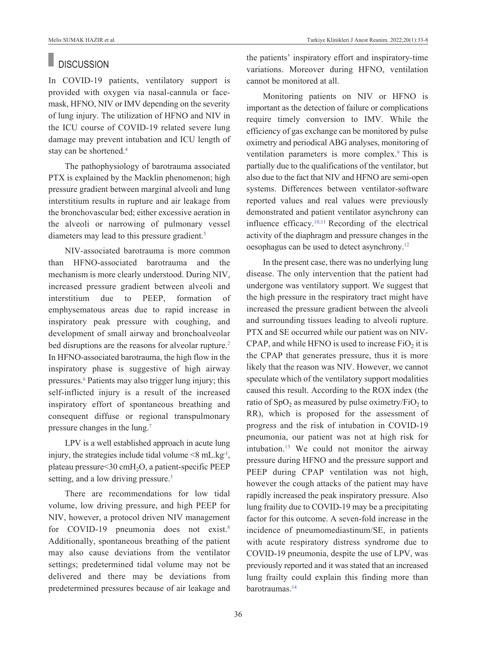### **DISCUSSION**

In COVID-19 patients, ventilatory support is provided with oxygen via nasal-cannula or facemask, HFNO, NIV or IMV depending on the severity of lung injury. The utilization of HFNO and NIV in the ICU course of COVID-19 related severe lung damage may prevent intubation and ICU length of stay can be shortened[.4](#page-4-0) 

The pathophysiology of barotrauma associated PTX is explained by the Macklin phenomenon; high pressure gradient between marginal alveoli and lung interstitium results in rupture and air leakage from the bronchovascular bed; either excessive aeration in the alveoli or narrowing of pulmonary vessel diameters may lead to this pressure gradient.<sup>5</sup>

NIV-associated barotrauma is more common than HFNO-associated barotrauma and the mechanism is more clearly understood. During NIV, increased pressure gradient between alveoli and interstitium due to PEEP, formation of emphysematous areas due to rapid increase in inspiratory peak pressure with coughing, and development of small airway and bronchoalveolar bed disruptions are the reasons for alveolar rupture.<sup>2</sup> In HFNO-associated barotrauma, the high flow in the inspiratory phase is suggestive of high airway pressures[.6](#page-4-0) Patients may also trigger lung injury; this self-inflicted injury is a result of the increased inspiratory effort of spontaneous breathing and consequent diffuse or regional transpulmonary pressure changes in the lung[.7](#page-4-0)

LPV is a well established approach in acute lung injury, the strategies include tidal volume  $\leq 8$  mL.kg<sup>-1</sup>, plateau pressure<30 cmH2O, a patient-specific PEEP setting, and a low driving pressure.<sup>3</sup>

There are recommendations for low tidal volume, low driving pressure, and high PEEP for NIV, however, a protocol driven NIV management for COVID-19 pneumonia does not exist.<sup>8</sup> Additionally, spontaneous breathing of the patient may also cause deviations from the ventilator settings; predetermined tidal volume may not be delivered and there may be deviations from predetermined pressures because of air leakage and the patients' inspiratory effort and inspiratory-time variations. Moreover during HFNO, ventilation cannot be monitored at all.

Monitoring patients on NIV or HFNO is important as the detection of failure or complications require timely conversion to IMV. While the efficiency of gas exchange can be monitored by pulse oximetry and periodical ABG analyses, monitoring of ventilation parameters is more complex.<sup>9</sup> This is partially due to the qualifications of the ventilator, but also due to the fact that NIV and HFNO are semi-open systems. Differences between ventilator-software reported values and real values were previously demonstrated and patient ventilator asynchrony can influence efficacy. $10,11$  Recording of the electrical activity of the diaphragm and pressure changes in the oesophagus can be used to detect asynchrony[.12](#page-4-0)

In the present case, there was no underlying lung disease. The only intervention that the patient had undergone was ventilatory support. We suggest that the high pressure in the respiratory tract might have increased the pressure gradient between the alveoli and surrounding tissues leading to alveoli rupture. PTX and SE occurred while our patient was on NIV-CPAP, and while HFNO is used to increase  $FiO<sub>2</sub>$  it is the CPAP that generates pressure, thus it is more likely that the reason was NIV. However, we cannot speculate which of the ventilatory support modalities caused this result. According to the ROX index (the ratio of  $SpO<sub>2</sub>$  as measured by pulse oximetry/FiO<sub>2</sub> to RR), which is proposed for the assessment of progress and the risk of intubation in COVID-19 pneumonia, our patient was not at high risk for intubation[.13](#page-4-0) We could not monitor the airway pressure during HFNO and the pressure support and PEEP during CPAP ventilation was not high, however the cough attacks of the patient may have rapidly increased the peak inspiratory pressure. Also lung fraility due to COVID-19 may be a precipitating factor for this outcome. A seven-fold increase in the incidence of pneumomediastinum/SE, in patients with acute respiratory distress syndrome due to COVID-19 pneumonia, despite the use of LPV, was previously reported and it was stated that an increased lung frailty could explain this finding more than barotraumas[.14](#page-4-0)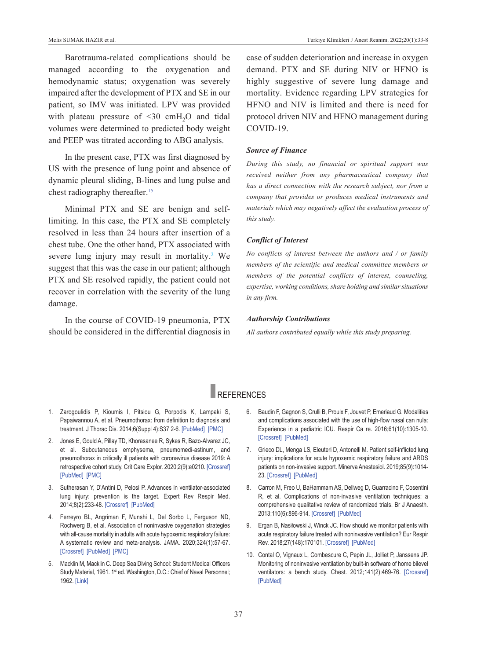Barotrauma-related complications should be managed according to the oxygenation and hemodynamic status; oxygenation was severely impaired after the development of PTX and SE in our patient, so IMV was initiated. LPV was provided with plateau pressure of  $\leq 30$  cmH<sub>2</sub>O and tidal volumes were determined to predicted body weight and PEEP was titrated according to ABG analysis.

In the present case, PTX was first diagnosed by US with the presence of lung point and absence of dynamic pleural sliding, B-lines and lung pulse and chest radiography thereafter[.15](#page-4-0) 

Minimal PTX and SE are benign and selflimiting. In this case, the PTX and SE completely resolved in less than 24 hours after insertion of a chest tube. One the other hand, PTX associated with severe lung injury may result in mortality.<sup>2</sup> We suggest that this was the case in our patient; although PTX and SE resolved rapidly, the patient could not recover in correlation with the severity of the lung damage.

In the course of COVID-19 pneumonia, PTX should be considered in the differential diagnosis in case of sudden deterioration and increase in oxygen demand. PTX and SE during NIV or HFNO is highly suggestive of severe lung damage and mortality. Evidence regarding LPV strategies for HFNO and NIV is limited and there is need for protocol driven NIV and HFNO management during COVID-19.

### *Source of Finance*

*During this study, no financial or spiritual support was received neither from any pharmaceutical company that has a direct connection with the research subject, nor from a company that provides or produces medical instruments and materials which may negatively affect the evaluation process of this study.* 

### *Conflict of Interest*

*No conflicts of interest between the authors and / or family members of the scientific and medical committee members or members of the potential conflicts of interest, counseling, expertise, working conditions, share holding and similar situations in any firm.* 

### *Authorship Contributions*

*All authors contributed equally while this study preparing.*

# REFERENCES

- 1. Zarogoulidis P, Kioumis I, Pitsiou G, Porpodis K, Lampaki S, Papaiwannou A, et al. Pneumothorax: from definition to diagnosis and treatment. J Thorac Dis. 2014;6(Suppl 4):S37 2-6. [\[PubMed\]](https://pubmed.ncbi.nlm.nih.gov/25337391/) [\[PMC\]](https://www.ncbi.nlm.nih.gov/pmc/articles/PMC4203989/)
- 2. Jones E, Gould A, Pillay TD, Khorasanee R, Sykes R, Bazo-Alvarez JC, et al. Subcutaneous emphysema, pneumomedi-astinum, and pneumothorax in critically ill patients with coronavirus disease 2019: A retrospective cohort study. Crit Care Explor. 2020;2(9):e0210. [\[Crossref\]](https://journals.lww.com/ccejournal/Fulltext/2020/09000/Subcutaneous_Emphysema,_Pneumomediastinum,_and.16.aspx) [\[PubMed\]](https://pubmed.ncbi.nlm.nih.gov/33063043/) [\[PMC\]](https://www.ncbi.nlm.nih.gov/pmc/articles/PMC7515614/)
- 3. Sutherasan Y, D'Antini D, Pelosi P. Advances in ventilator-associated lung injury: prevention is the target. Expert Rev Respir Med. 2014;8(2):233-48. [\[Crossref\]](https://www.tandfonline.com/doi/full/10.1586/17476348.2014.890519) [\[PubMed\]](https://pubmed.ncbi.nlm.nih.gov/24601663/)
- 4. Ferreyro BL, Angriman F, Munshi L, Del Sorbo L, Ferguson ND, Rochwerg B, et al. Association of noninvasive oxygenation strategies with all-cause mortality in adults with acute hypoxemic respiratory failure: A systematic review and meta-analysis. JAMA. 2020;324(1):57-67. [\[Crossref\]](https://jamanetwork.com/journals/jama/fullarticle/2767025) [\[PubMed\]](https://pubmed.ncbi.nlm.nih.gov/32496521/) [\[PMC\]](https://www.ncbi.nlm.nih.gov/pmc/articles/PMC7273316/)
- 5. Macklin M, Macklin C. Deep Sea Diving School: Student Medical Officers Study Material, 1961. 1<sup>st</sup> ed. Washington, D.C.: Chief of Naval Personnel; 1962. [\[Link\]](https://books.google.com.tr/books?id=evgNAQAAIAAJ&printsec=frontcover&hl=tr&source=gbs_ge_summary_r&cad=0#v=onepage&q&f=false)
- <span id="page-4-0"></span>6. Baudin F, Gagnon S, Crulli B, Proulx F, Jouvet P, Emeriaud G. Modalities and complications associated with the use of high-flow nasal can nula: Experience in a pediatric ICU. Respir Ca re. 2016;61(10):1305-10. [\[Crossref\]](http://rc.rcjournal.com/content/61/10/1305) [\[PubMed\]](https://pubmed.ncbi.nlm.nih.gov/27484109/)
- 7. Grieco DL, Menga LS, Eleuteri D, Antonelli M. Patient self-inflicted lung injury: implications for acute hypoxemic respiratory failure and ARDS patients on non-invasive support. Minerva Anestesiol. 2019;85(9):1014- 23. [\[Crossref\]](https://www.minervamedica.it/en/journals/minerva-anestesiologica/article.php?cod=R02Y2019N09A1014) [\[PubMed\]](https://pubmed.ncbi.nlm.nih.gov/30871304/)
- 8. Carron M, Freo U, BaHammam AS, Dellweg D, Guarracino F, Cosentini R, et al. Complications of non-invasive ventilation techniques: a comprehensive qualitative review of randomized trials. Br J Anaesth. 2013;110(6):896-914. [\[Crossref\]](https://www.sciencedirect.com/science/article/pii/S0007091217538519?via%3Dihub) [\[PubMed\]](https://pubmed.ncbi.nlm.nih.gov/23562934/)
- 9. Ergan B, Nasiłowski J, Winck JC. How should we monitor patients with acute respiratory failure treated with noninvasive ventilation? Eur Respir Rev. 2018;27(148):170101. [\[Crossref\]](https://err.ersjournals.com/content/27/148/170101) [\[PubMed\]](https://pubmed.ncbi.nlm.nih.gov/29653949/)
- 10. Contal O, Vignaux L, Combescure C, Pepin JL, Jolliet P, Janssens JP. Monitoring of noninvasive ventilation by built-in software of home bilevel ventilators: a bench study. Chest. 2012;141(2):469-76. [\[Crossref\]](https://www.sciencedirect.com/science/article/abs/pii/S0012369212600865?via%3Dihub) [\[PubMed\]](https://pubmed.ncbi.nlm.nih.gov/21778253/)